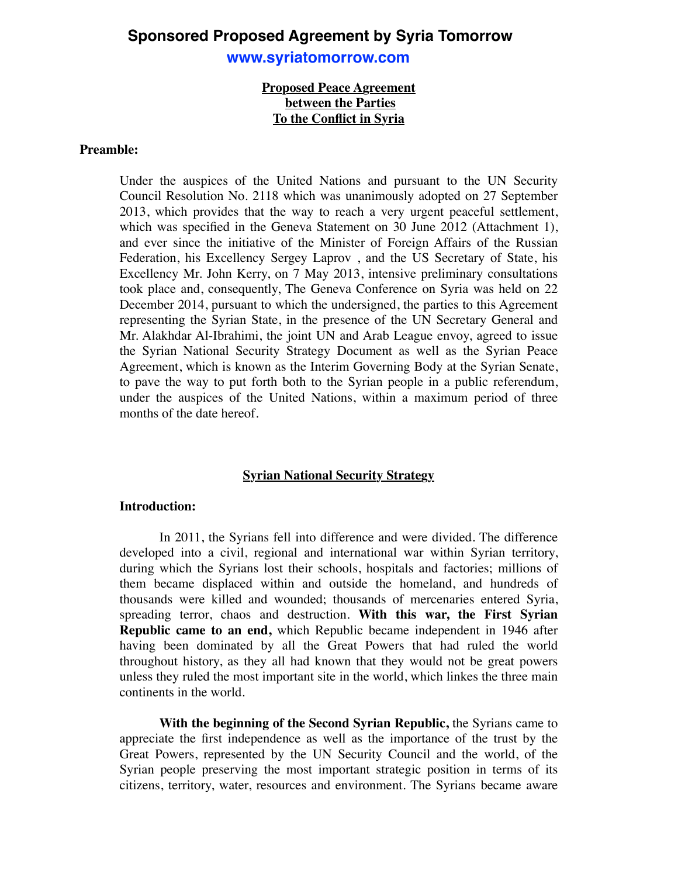# **Sponsored Proposed Agreement by Syria Tomorrow**

**www.syriatomorrow.com**

### **Proposed Peace Agreement between the Parties To the Conflict in Syria**

#### **Preamble:**

Under the auspices of the United Nations and pursuant to the UN Security Council Resolution No. 2118 which was unanimously adopted on 27 September 2013, which provides that the way to reach a very urgent peaceful settlement, which was specified in the Geneva Statement on 30 June 2012 (Attachment 1), and ever since the initiative of the Minister of Foreign Affairs of the Russian Federation, his Excellency Sergey Laprov , and the US Secretary of State, his Excellency Mr. John Kerry, on 7 May 2013, intensive preliminary consultations took place and, consequently, The Geneva Conference on Syria was held on 22 December 2014, pursuant to which the undersigned, the parties to this Agreement representing the Syrian State, in the presence of the UN Secretary General and Mr. Alakhdar Al-Ibrahimi, the joint UN and Arab League envoy, agreed to issue the Syrian National Security Strategy Document as well as the Syrian Peace Agreement, which is known as the Interim Governing Body at the Syrian Senate, to pave the way to put forth both to the Syrian people in a public referendum, under the auspices of the United Nations, within a maximum period of three months of the date hereof.

### **Syrian National Security Strategy**

#### **Introduction:**

In 2011, the Syrians fell into difference and were divided. The difference developed into a civil, regional and international war within Syrian territory, during which the Syrians lost their schools, hospitals and factories; millions of them became displaced within and outside the homeland, and hundreds of thousands were killed and wounded; thousands of mercenaries entered Syria, spreading terror, chaos and destruction. **With this war, the First Syrian Republic came to an end,** which Republic became independent in 1946 after having been dominated by all the Great Powers that had ruled the world throughout history, as they all had known that they would not be great powers unless they ruled the most important site in the world, which linkes the three main continents in the world.

**With the beginning of the Second Syrian Republic,** the Syrians came to appreciate the first independence as well as the importance of the trust by the Great Powers, represented by the UN Security Council and the world, of the Syrian people preserving the most important strategic position in terms of its citizens, territory, water, resources and environment. The Syrians became aware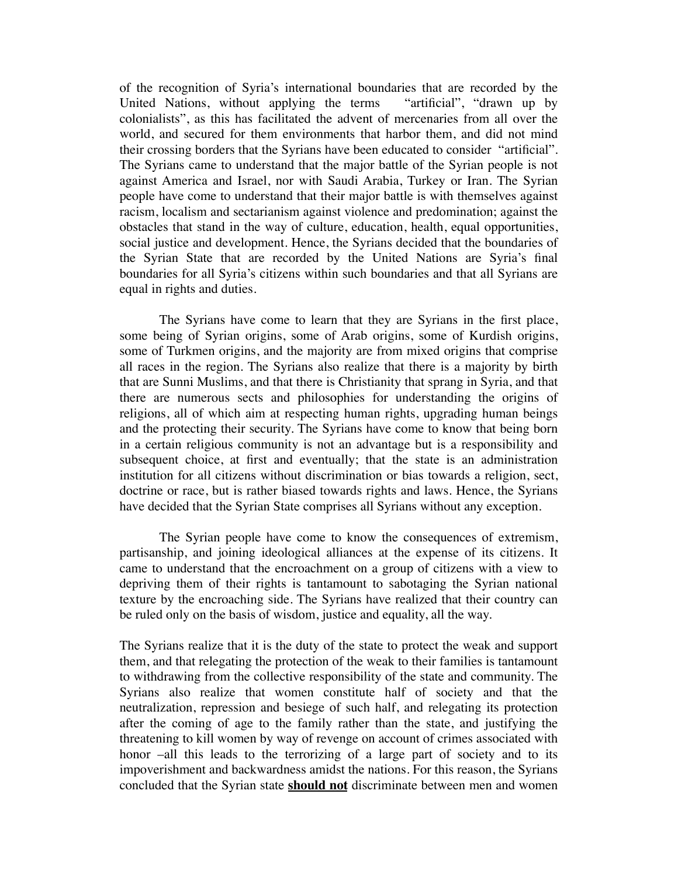of the recognition of Syria's international boundaries that are recorded by the United Nations, without applying the terms "artificial", "drawn up by colonialists", as this has facilitated the advent of mercenaries from all over the world, and secured for them environments that harbor them, and did not mind their crossing borders that the Syrians have been educated to consider "artificial". The Syrians came to understand that the major battle of the Syrian people is not against America and Israel, nor with Saudi Arabia, Turkey or Iran. The Syrian people have come to understand that their major battle is with themselves against racism, localism and sectarianism against violence and predomination; against the obstacles that stand in the way of culture, education, health, equal opportunities, social justice and development. Hence, the Syrians decided that the boundaries of the Syrian State that are recorded by the United Nations are Syria's final boundaries for all Syria's citizens within such boundaries and that all Syrians are equal in rights and duties.

The Syrians have come to learn that they are Syrians in the first place, some being of Syrian origins, some of Arab origins, some of Kurdish origins, some of Turkmen origins, and the majority are from mixed origins that comprise all races in the region. The Syrians also realize that there is a majority by birth that are Sunni Muslims, and that there is Christianity that sprang in Syria, and that there are numerous sects and philosophies for understanding the origins of religions, all of which aim at respecting human rights, upgrading human beings and the protecting their security. The Syrians have come to know that being born in a certain religious community is not an advantage but is a responsibility and subsequent choice, at first and eventually; that the state is an administration institution for all citizens without discrimination or bias towards a religion, sect, doctrine or race, but is rather biased towards rights and laws. Hence, the Syrians have decided that the Syrian State comprises all Syrians without any exception.

The Syrian people have come to know the consequences of extremism, partisanship, and joining ideological alliances at the expense of its citizens. It came to understand that the encroachment on a group of citizens with a view to depriving them of their rights is tantamount to sabotaging the Syrian national texture by the encroaching side. The Syrians have realized that their country can be ruled only on the basis of wisdom, justice and equality, all the way.

The Syrians realize that it is the duty of the state to protect the weak and support them, and that relegating the protection of the weak to their families is tantamount to withdrawing from the collective responsibility of the state and community. The Syrians also realize that women constitute half of society and that the neutralization, repression and besiege of such half, and relegating its protection after the coming of age to the family rather than the state, and justifying the threatening to kill women by way of revenge on account of crimes associated with honor –all this leads to the terrorizing of a large part of society and to its impoverishment and backwardness amidst the nations. For this reason, the Syrians concluded that the Syrian state **should not** discriminate between men and women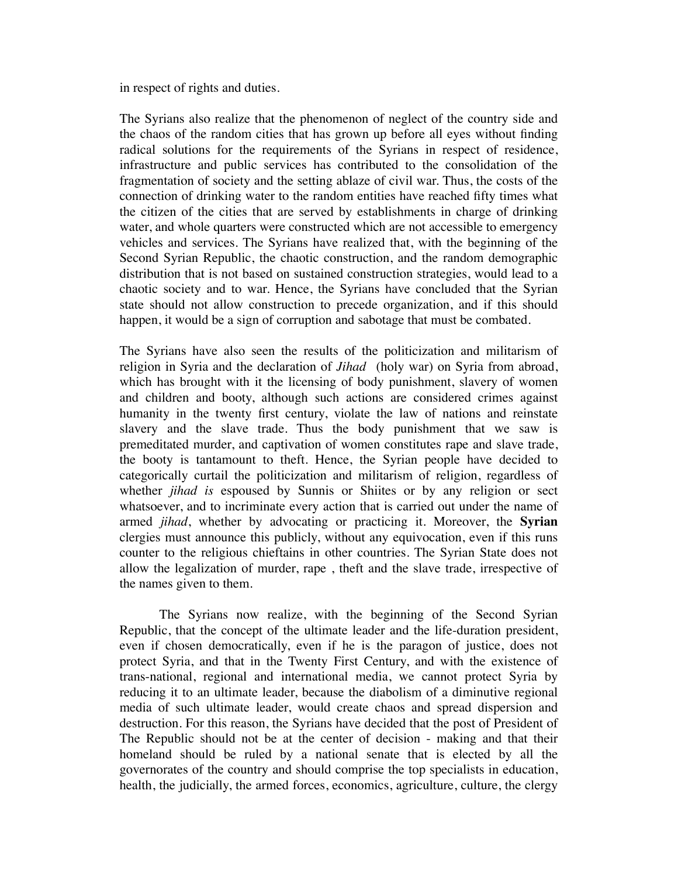in respect of rights and duties.

The Syrians also realize that the phenomenon of neglect of the country side and the chaos of the random cities that has grown up before all eyes without finding radical solutions for the requirements of the Syrians in respect of residence, infrastructure and public services has contributed to the consolidation of the fragmentation of society and the setting ablaze of civil war. Thus, the costs of the connection of drinking water to the random entities have reached fifty times what the citizen of the cities that are served by establishments in charge of drinking water, and whole quarters were constructed which are not accessible to emergency vehicles and services. The Syrians have realized that, with the beginning of the Second Syrian Republic, the chaotic construction, and the random demographic distribution that is not based on sustained construction strategies, would lead to a chaotic society and to war. Hence, the Syrians have concluded that the Syrian state should not allow construction to precede organization, and if this should happen, it would be a sign of corruption and sabotage that must be combated.

The Syrians have also seen the results of the politicization and militarism of religion in Syria and the declaration of *Jihad* (holy war) on Syria from abroad, which has brought with it the licensing of body punishment, slavery of women and children and booty, although such actions are considered crimes against humanity in the twenty first century, violate the law of nations and reinstate slavery and the slave trade. Thus the body punishment that we saw is premeditated murder, and captivation of women constitutes rape and slave trade, the booty is tantamount to theft. Hence, the Syrian people have decided to categorically curtail the politicization and militarism of religion, regardless of whether *jihad is* espoused by Sunnis or Shiites or by any religion or sect whatsoever, and to incriminate every action that is carried out under the name of armed *jihad*, whether by advocating or practicing it. Moreover, the **Syrian** clergies must announce this publicly, without any equivocation, even if this runs counter to the religious chieftains in other countries. The Syrian State does not allow the legalization of murder, rape , theft and the slave trade, irrespective of the names given to them.

The Syrians now realize, with the beginning of the Second Syrian Republic, that the concept of the ultimate leader and the life-duration president, even if chosen democratically, even if he is the paragon of justice, does not protect Syria, and that in the Twenty First Century, and with the existence of trans-national, regional and international media, we cannot protect Syria by reducing it to an ultimate leader, because the diabolism of a diminutive regional media of such ultimate leader, would create chaos and spread dispersion and destruction. For this reason, the Syrians have decided that the post of President of The Republic should not be at the center of decision - making and that their homeland should be ruled by a national senate that is elected by all the governorates of the country and should comprise the top specialists in education, health, the judicially, the armed forces, economics, agriculture, culture, the clergy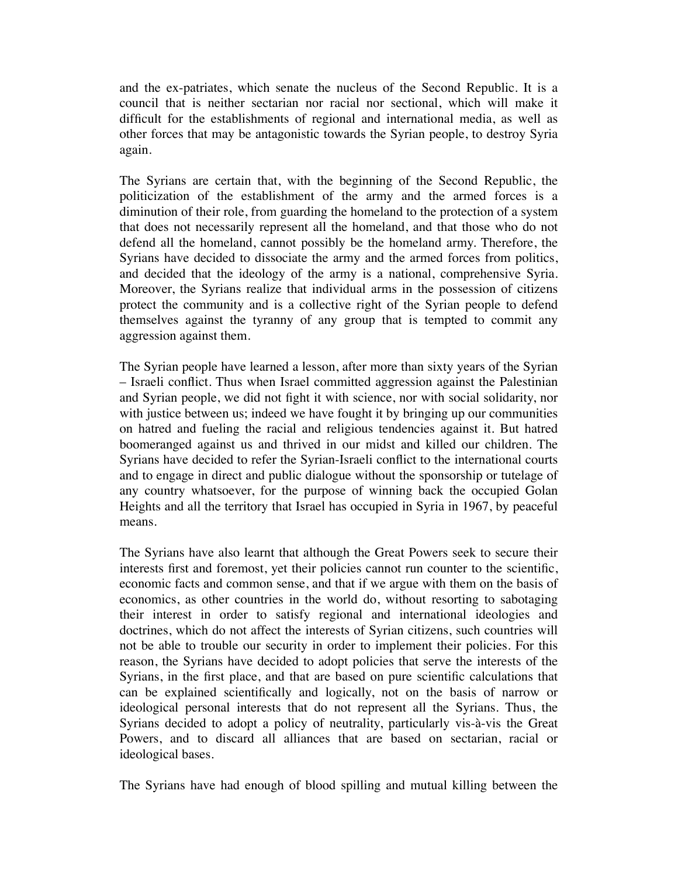and the ex-patriates, which senate the nucleus of the Second Republic. It is a council that is neither sectarian nor racial nor sectional, which will make it difficult for the establishments of regional and international media, as well as other forces that may be antagonistic towards the Syrian people, to destroy Syria again.

The Syrians are certain that, with the beginning of the Second Republic, the politicization of the establishment of the army and the armed forces is a diminution of their role, from guarding the homeland to the protection of a system that does not necessarily represent all the homeland, and that those who do not defend all the homeland, cannot possibly be the homeland army. Therefore, the Syrians have decided to dissociate the army and the armed forces from politics, and decided that the ideology of the army is a national, comprehensive Syria. Moreover, the Syrians realize that individual arms in the possession of citizens protect the community and is a collective right of the Syrian people to defend themselves against the tyranny of any group that is tempted to commit any aggression against them.

The Syrian people have learned a lesson, after more than sixty years of the Syrian – Israeli conflict. Thus when Israel committed aggression against the Palestinian and Syrian people, we did not fight it with science, nor with social solidarity, nor with justice between us; indeed we have fought it by bringing up our communities on hatred and fueling the racial and religious tendencies against it. But hatred boomeranged against us and thrived in our midst and killed our children. The Syrians have decided to refer the Syrian-Israeli conflict to the international courts and to engage in direct and public dialogue without the sponsorship or tutelage of any country whatsoever, for the purpose of winning back the occupied Golan Heights and all the territory that Israel has occupied in Syria in 1967, by peaceful means.

The Syrians have also learnt that although the Great Powers seek to secure their interests first and foremost, yet their policies cannot run counter to the scientific, economic facts and common sense, and that if we argue with them on the basis of economics, as other countries in the world do, without resorting to sabotaging their interest in order to satisfy regional and international ideologies and doctrines, which do not affect the interests of Syrian citizens, such countries will not be able to trouble our security in order to implement their policies. For this reason, the Syrians have decided to adopt policies that serve the interests of the Syrians, in the first place, and that are based on pure scientific calculations that can be explained scientifically and logically, not on the basis of narrow or ideological personal interests that do not represent all the Syrians. Thus, the Syrians decided to adopt a policy of neutrality, particularly vis-à-vis the Great Powers, and to discard all alliances that are based on sectarian, racial or ideological bases.

The Syrians have had enough of blood spilling and mutual killing between the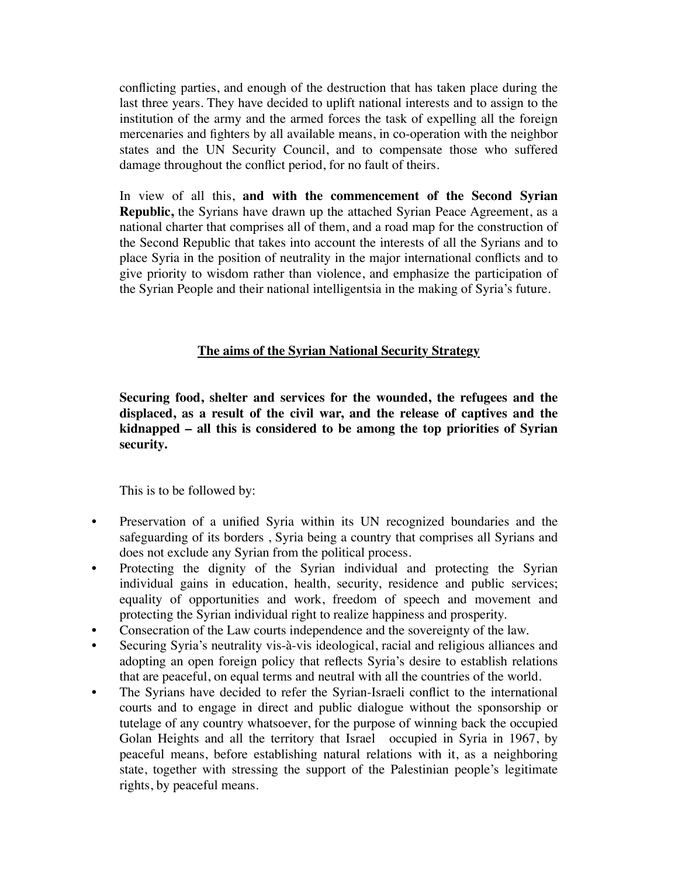conflicting parties, and enough of the destruction that has taken place during the last three years. They have decided to uplift national interests and to assign to the institution of the army and the armed forces the task of expelling all the foreign mercenaries and fighters by all available means, in co-operation with the neighbor states and the UN Security Council, and to compensate those who suffered damage throughout the conflict period, for no fault of theirs.

In view of all this, **and with the commencement of the Second Syrian Republic,** the Syrians have drawn up the attached Syrian Peace Agreement, as a national charter that comprises all of them, and a road map for the construction of the Second Republic that takes into account the interests of all the Syrians and to place Syria in the position of neutrality in the major international conflicts and to give priority to wisdom rather than violence, and emphasize the participation of the Syrian People and their national intelligentsia in the making of Syria's future.

## **The aims of the Syrian National Security Strategy**

**Securing food, shelter and services for the wounded, the refugees and the displaced, as a result of the civil war, and the release of captives and the kidnapped – all this is considered to be among the top priorities of Syrian security.**

This is to be followed by:

- Preservation of a unified Syria within its UN recognized boundaries and the safeguarding of its borders , Syria being a country that comprises all Syrians and does not exclude any Syrian from the political process.
- Protecting the dignity of the Syrian individual and protecting the Syrian individual gains in education, health, security, residence and public services; equality of opportunities and work, freedom of speech and movement and protecting the Syrian individual right to realize happiness and prosperity.
- Consecration of the Law courts independence and the sovereignty of the law.
- Securing Syria's neutrality vis-à-vis ideological, racial and religious alliances and adopting an open foreign policy that reflects Syria's desire to establish relations that are peaceful, on equal terms and neutral with all the countries of the world.
- The Syrians have decided to refer the Syrian-Israeli conflict to the international courts and to engage in direct and public dialogue without the sponsorship or tutelage of any country whatsoever, for the purpose of winning back the occupied Golan Heights and all the territory that Israel occupied in Syria in 1967, by peaceful means, before establishing natural relations with it, as a neighboring state, together with stressing the support of the Palestinian people's legitimate rights, by peaceful means.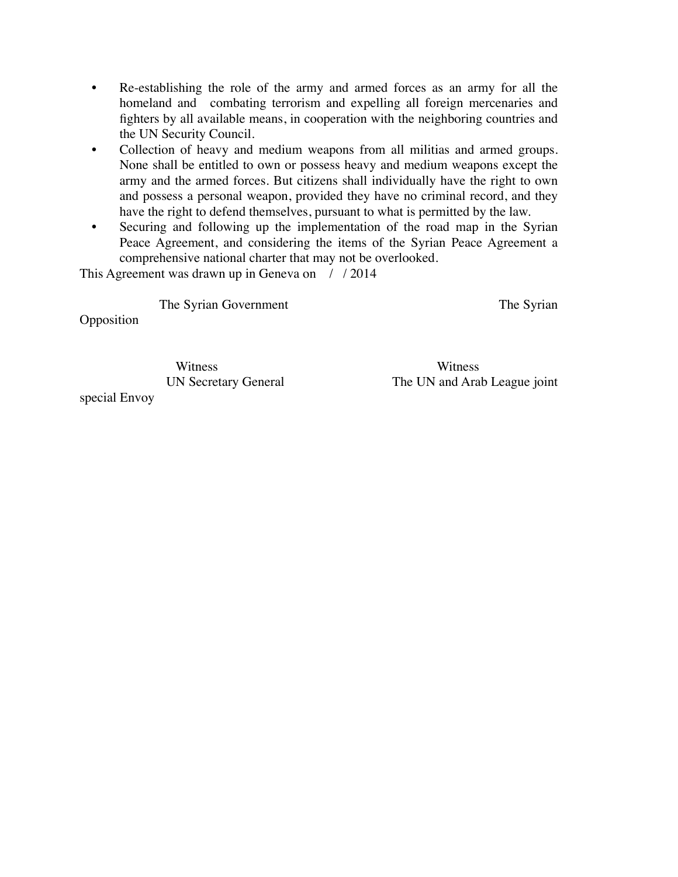- Re-establishing the role of the army and armed forces as an army for all the homeland and combating terrorism and expelling all foreign mercenaries and fighters by all available means, in cooperation with the neighboring countries and the UN Security Council.
- Collection of heavy and medium weapons from all militias and armed groups. None shall be entitled to own or possess heavy and medium weapons except the army and the armed forces. But citizens shall individually have the right to own and possess a personal weapon, provided they have no criminal record, and they have the right to defend themselves, pursuant to what is permitted by the law.
- Securing and following up the implementation of the road map in the Syrian Peace Agreement, and considering the items of the Syrian Peace Agreement a comprehensive national charter that may not be overlooked.

This Agreement was drawn up in Geneva on / / 2014

The Syrian Government The Syrian

Opposition

Witness Witness

UN Secretary General The UN and Arab League joint

special Envoy